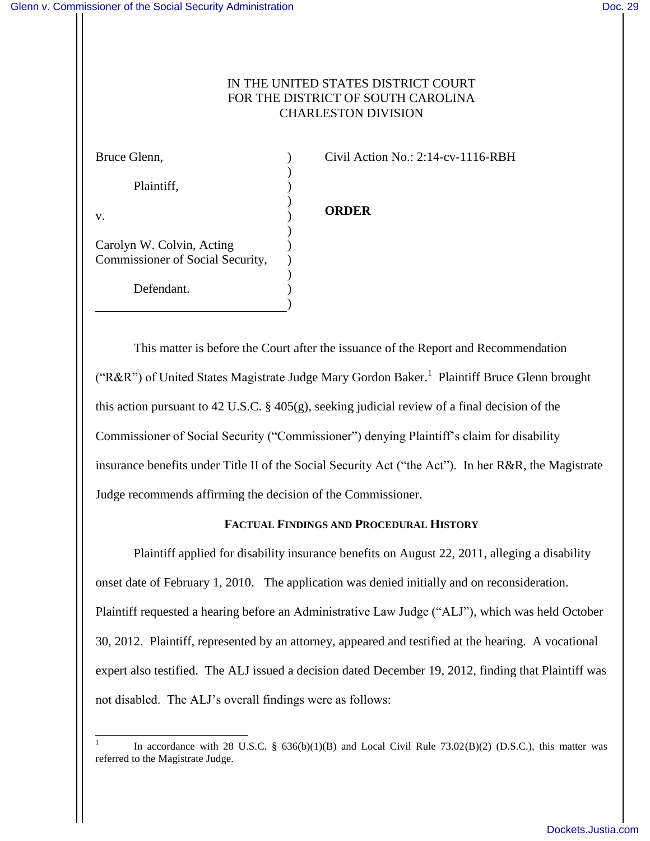# IN THE UNITED STATES DISTRICT COURT FOR THE DISTRICT OF SOUTH CAROLINA CHARLESTON DIVISION

| Bruce Glenn,                                                  |  |
|---------------------------------------------------------------|--|
| Plaintiff,                                                    |  |
| V.                                                            |  |
| Carolyn W. Colvin, Acting<br>Commissioner of Social Security, |  |
| Defendant.                                                    |  |

Civil Action No.: 2:14-cv-1116-RBH

# **ORDER**

This matter is before the Court after the issuance of the Report and Recommendation ("R&R") of United States Magistrate Judge Mary Gordon Baker.<sup>1</sup> Plaintiff Bruce Glenn brought this action pursuant to 42 U.S.C. § 405(g), seeking judicial review of a final decision of the Commissioner of Social Security ("Commissioner") denying Plaintiff's claim for disability insurance benefits under Title II of the Social Security Act ("the Act"). In her R&R, the Magistrate Judge recommends affirming the decision of the Commissioner.

## **FACTUAL FINDINGS AND PROCEDURAL HISTORY**

Plaintiff applied for disability insurance benefits on August 22, 2011, alleging a disability onset date of February 1, 2010. The application was denied initially and on reconsideration. Plaintiff requested a hearing before an Administrative Law Judge ("ALJ"), which was held October 30, 2012. Plaintiff, represented by an attorney, appeared and testified at the hearing. A vocational expert also testified. The ALJ issued a decision dated December 19, 2012, finding that Plaintiff was not disabled. The ALJ's overall findings were as follows:

 $\overline{a}$ 1 In accordance with 28 U.S.C. § 636(b)(1)(B) and Local Civil Rule 73.02(B)(2) (D.S.C.), this matter was referred to the Magistrate Judge.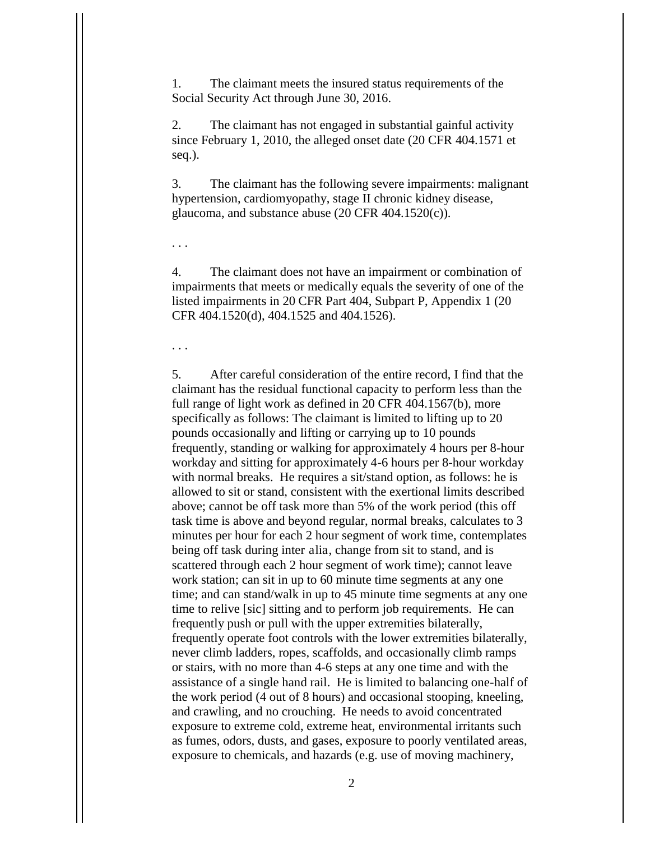1. The claimant meets the insured status requirements of the Social Security Act through June 30, 2016.

2. The claimant has not engaged in substantial gainful activity since February 1, 2010, the alleged onset date (20 CFR 404.1571 et seq.).

3. The claimant has the following severe impairments: malignant hypertension, cardiomyopathy, stage II chronic kidney disease, glaucoma, and substance abuse (20 CFR 404.1520(c)).

. . .

4. The claimant does not have an impairment or combination of impairments that meets or medically equals the severity of one of the listed impairments in 20 CFR Part 404, Subpart P, Appendix 1 (20 CFR 404.1520(d), 404.1525 and 404.1526).

. . .

5. After careful consideration of the entire record, I find that the claimant has the residual functional capacity to perform less than the full range of light work as defined in 20 CFR 404.1567(b), more specifically as follows: The claimant is limited to lifting up to 20 pounds occasionally and lifting or carrying up to 10 pounds frequently, standing or walking for approximately 4 hours per 8-hour workday and sitting for approximately 4-6 hours per 8-hour workday with normal breaks. He requires a sit/stand option, as follows: he is allowed to sit or stand, consistent with the exertional limits described above; cannot be off task more than 5% of the work period (this off task time is above and beyond regular, normal breaks, calculates to 3 minutes per hour for each 2 hour segment of work time, contemplates being off task during inter alia, change from sit to stand, and is scattered through each 2 hour segment of work time); cannot leave work station; can sit in up to 60 minute time segments at any one time; and can stand/walk in up to 45 minute time segments at any one time to relive [sic] sitting and to perform job requirements. He can frequently push or pull with the upper extremities bilaterally, frequently operate foot controls with the lower extremities bilaterally, never climb ladders, ropes, scaffolds, and occasionally climb ramps or stairs, with no more than 4-6 steps at any one time and with the assistance of a single hand rail. He is limited to balancing one-half of the work period (4 out of 8 hours) and occasional stooping, kneeling, and crawling, and no crouching. He needs to avoid concentrated exposure to extreme cold, extreme heat, environmental irritants such as fumes, odors, dusts, and gases, exposure to poorly ventilated areas, exposure to chemicals, and hazards (e.g. use of moving machinery,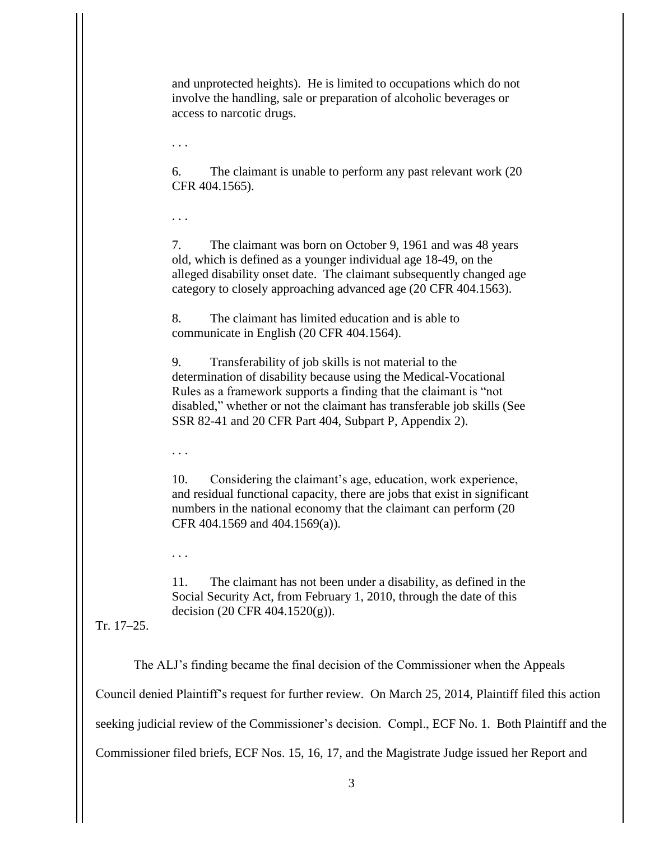and unprotected heights). He is limited to occupations which do not involve the handling, sale or preparation of alcoholic beverages or access to narcotic drugs.

. . .

6. The claimant is unable to perform any past relevant work (20 CFR 404.1565).

. . .

7. The claimant was born on October 9, 1961 and was 48 years old, which is defined as a younger individual age 18-49, on the alleged disability onset date. The claimant subsequently changed age category to closely approaching advanced age (20 CFR 404.1563).

8. The claimant has limited education and is able to communicate in English (20 CFR 404.1564).

9. Transferability of job skills is not material to the determination of disability because using the Medical-Vocational Rules as a framework supports a finding that the claimant is "not disabled," whether or not the claimant has transferable job skills (See SSR 82-41 and 20 CFR Part 404, Subpart P, Appendix 2).

. . .

10. Considering the claimant's age, education, work experience, and residual functional capacity, there are jobs that exist in significant numbers in the national economy that the claimant can perform (20 CFR 404.1569 and 404.1569(a)).

. . .

11. The claimant has not been under a disability, as defined in the Social Security Act, from February 1, 2010, through the date of this decision (20 CFR 404.1520(g)).

Tr. 17–25.

The ALJ's finding became the final decision of the Commissioner when the Appeals

Council denied Plaintiff's request for further review. On March 25, 2014, Plaintiff filed this action

seeking judicial review of the Commissioner's decision. Compl., ECF No. 1. Both Plaintiff and the

Commissioner filed briefs, ECF Nos. 15, 16, 17, and the Magistrate Judge issued her Report and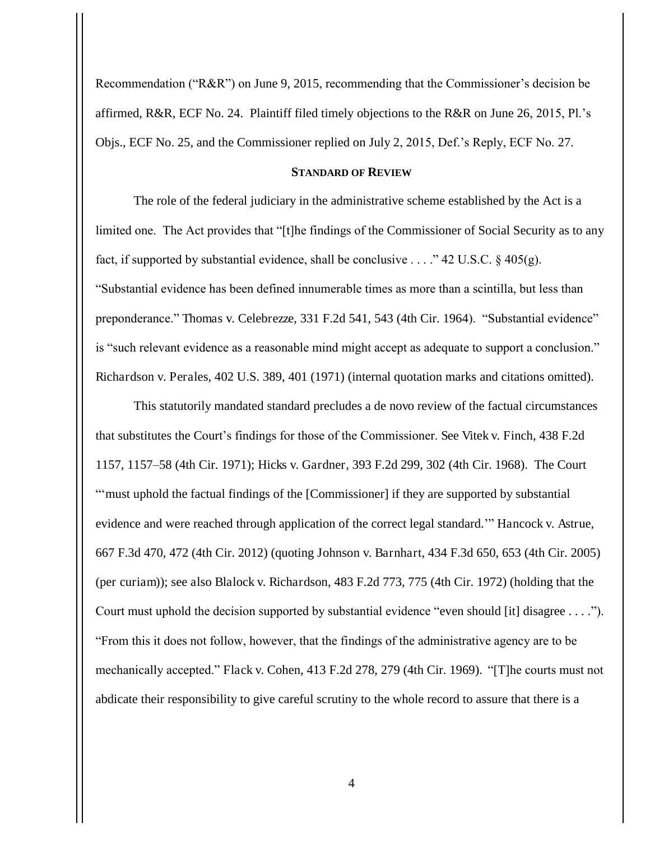Recommendation ("R&R") on June 9, 2015, recommending that the Commissioner's decision be affirmed, R&R, ECF No. 24. Plaintiff filed timely objections to the R&R on June 26, 2015, Pl.'s Objs., ECF No. 25, and the Commissioner replied on July 2, 2015, Def.'s Reply, ECF No. 27.

### **STANDARD OF REVIEW**

The role of the federal judiciary in the administrative scheme established by the Act is a limited one. The Act provides that "[t]he findings of the Commissioner of Social Security as to any fact, if supported by substantial evidence, shall be conclusive . . . ." 42 U.S.C.  $\S$  405(g). "Substantial evidence has been defined innumerable times as more than a scintilla, but less than preponderance." Thomas v. Celebrezze, 331 F.2d 541, 543 (4th Cir. 1964). "Substantial evidence" is "such relevant evidence as a reasonable mind might accept as adequate to support a conclusion." Richardson v. Perales, 402 U.S. 389, 401 (1971) (internal quotation marks and citations omitted).

This statutorily mandated standard precludes a de novo review of the factual circumstances that substitutes the Court's findings for those of the Commissioner. See Vitek v. Finch, 438 F.2d 1157, 1157–58 (4th Cir. 1971); Hicks v. Gardner, 393 F.2d 299, 302 (4th Cir. 1968). The Court "'must uphold the factual findings of the [Commissioner] if they are supported by substantial evidence and were reached through application of the correct legal standard.'" Hancock v. Astrue, 667 F.3d 470, 472 (4th Cir. 2012) (quoting Johnson v. Barnhart, 434 F.3d 650, 653 (4th Cir. 2005) (per curiam)); see also Blalock v. Richardson, 483 F.2d 773, 775 (4th Cir. 1972) (holding that the Court must uphold the decision supported by substantial evidence "even should [it] disagree . . . ."). "From this it does not follow, however, that the findings of the administrative agency are to be mechanically accepted." Flack v. Cohen, 413 F.2d 278, 279 (4th Cir. 1969). "[T]he courts must not abdicate their responsibility to give careful scrutiny to the whole record to assure that there is a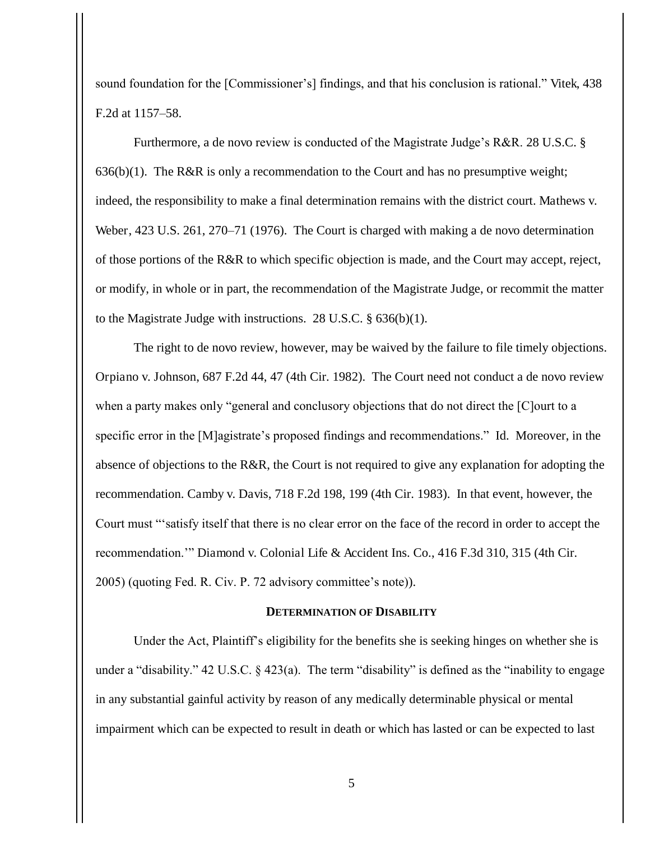sound foundation for the [Commissioner's] findings, and that his conclusion is rational." Vitek, 438 F.2d at 1157–58.

Furthermore, a de novo review is conducted of the Magistrate Judge's R&R. 28 U.S.C. §  $636(b)(1)$ . The R&R is only a recommendation to the Court and has no presumptive weight; indeed, the responsibility to make a final determination remains with the district court. Mathews v. Weber, 423 U.S. 261, 270–71 (1976). The Court is charged with making a de novo determination of those portions of the R&R to which specific objection is made, and the Court may accept, reject, or modify, in whole or in part, the recommendation of the Magistrate Judge, or recommit the matter to the Magistrate Judge with instructions. 28 U.S.C. § 636(b)(1).

The right to de novo review, however, may be waived by the failure to file timely objections. Orpiano v. Johnson, 687 F.2d 44, 47 (4th Cir. 1982). The Court need not conduct a de novo review when a party makes only "general and conclusory objections that do not direct the [C]ourt to a specific error in the [M]agistrate's proposed findings and recommendations." Id. Moreover, in the absence of objections to the R&R, the Court is not required to give any explanation for adopting the recommendation. Camby v. Davis, 718 F.2d 198, 199 (4th Cir. 1983). In that event, however, the Court must "'satisfy itself that there is no clear error on the face of the record in order to accept the recommendation.'" Diamond v. Colonial Life & Accident Ins. Co., 416 F.3d 310, 315 (4th Cir. 2005) (quoting Fed. R. Civ. P. 72 advisory committee's note)).

#### **DETERMINATION OF DISABILITY**

Under the Act, Plaintiff's eligibility for the benefits she is seeking hinges on whether she is under a "disability." 42 U.S.C. § 423(a). The term "disability" is defined as the "inability to engage in any substantial gainful activity by reason of any medically determinable physical or mental impairment which can be expected to result in death or which has lasted or can be expected to last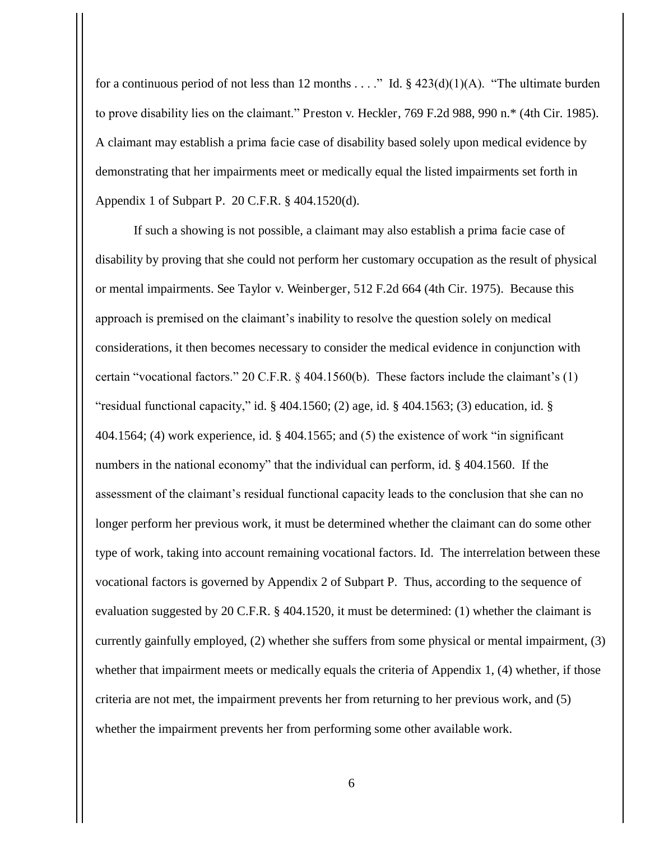for a continuous period of not less than 12 months . . . ." Id.  $\S$  423(d)(1)(A). "The ultimate burden to prove disability lies on the claimant." Preston v. Heckler, 769 F.2d 988, 990 n.\* (4th Cir. 1985). A claimant may establish a prima facie case of disability based solely upon medical evidence by demonstrating that her impairments meet or medically equal the listed impairments set forth in Appendix 1 of Subpart P. 20 C.F.R. § 404.1520(d).

If such a showing is not possible, a claimant may also establish a prima facie case of disability by proving that she could not perform her customary occupation as the result of physical or mental impairments. See Taylor v. Weinberger, 512 F.2d 664 (4th Cir. 1975). Because this approach is premised on the claimant's inability to resolve the question solely on medical considerations, it then becomes necessary to consider the medical evidence in conjunction with certain "vocational factors." 20 C.F.R. § 404.1560(b). These factors include the claimant's (1) "residual functional capacity," id.  $\S$  404.1560; (2) age, id.  $\S$  404.1563; (3) education, id.  $\S$ 404.1564; (4) work experience, id. § 404.1565; and (5) the existence of work "in significant numbers in the national economy" that the individual can perform, id. § 404.1560. If the assessment of the claimant's residual functional capacity leads to the conclusion that she can no longer perform her previous work, it must be determined whether the claimant can do some other type of work, taking into account remaining vocational factors. Id. The interrelation between these vocational factors is governed by Appendix 2 of Subpart P. Thus, according to the sequence of evaluation suggested by 20 C.F.R. § 404.1520, it must be determined: (1) whether the claimant is currently gainfully employed, (2) whether she suffers from some physical or mental impairment, (3) whether that impairment meets or medically equals the criteria of Appendix 1, (4) whether, if those criteria are not met, the impairment prevents her from returning to her previous work, and (5) whether the impairment prevents her from performing some other available work.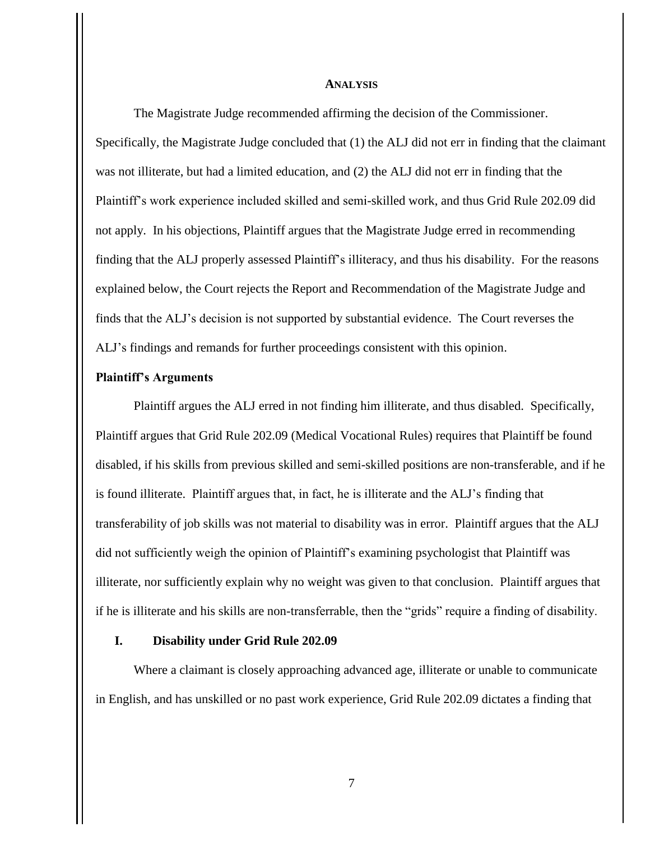#### **ANALYSIS**

 The Magistrate Judge recommended affirming the decision of the Commissioner. Specifically, the Magistrate Judge concluded that (1) the ALJ did not err in finding that the claimant was not illiterate, but had a limited education, and (2) the ALJ did not err in finding that the Plaintiff's work experience included skilled and semi-skilled work, and thus Grid Rule 202.09 did not apply. In his objections, Plaintiff argues that the Magistrate Judge erred in recommending finding that the ALJ properly assessed Plaintiff's illiteracy, and thus his disability. For the reasons explained below, the Court rejects the Report and Recommendation of the Magistrate Judge and finds that the ALJ's decision is not supported by substantial evidence. The Court reverses the ALJ's findings and remands for further proceedings consistent with this opinion.

### **Plaintiff's Arguments**

Plaintiff argues the ALJ erred in not finding him illiterate, and thus disabled. Specifically, Plaintiff argues that Grid Rule 202.09 (Medical Vocational Rules) requires that Plaintiff be found disabled, if his skills from previous skilled and semi-skilled positions are non-transferable, and if he is found illiterate. Plaintiff argues that, in fact, he is illiterate and the ALJ's finding that transferability of job skills was not material to disability was in error. Plaintiff argues that the ALJ did not sufficiently weigh the opinion of Plaintiff's examining psychologist that Plaintiff was illiterate, nor sufficiently explain why no weight was given to that conclusion. Plaintiff argues that if he is illiterate and his skills are non-transferrable, then the "grids" require a finding of disability.

### **I. Disability under Grid Rule 202.09**

Where a claimant is closely approaching advanced age, illiterate or unable to communicate in English, and has unskilled or no past work experience, Grid Rule 202.09 dictates a finding that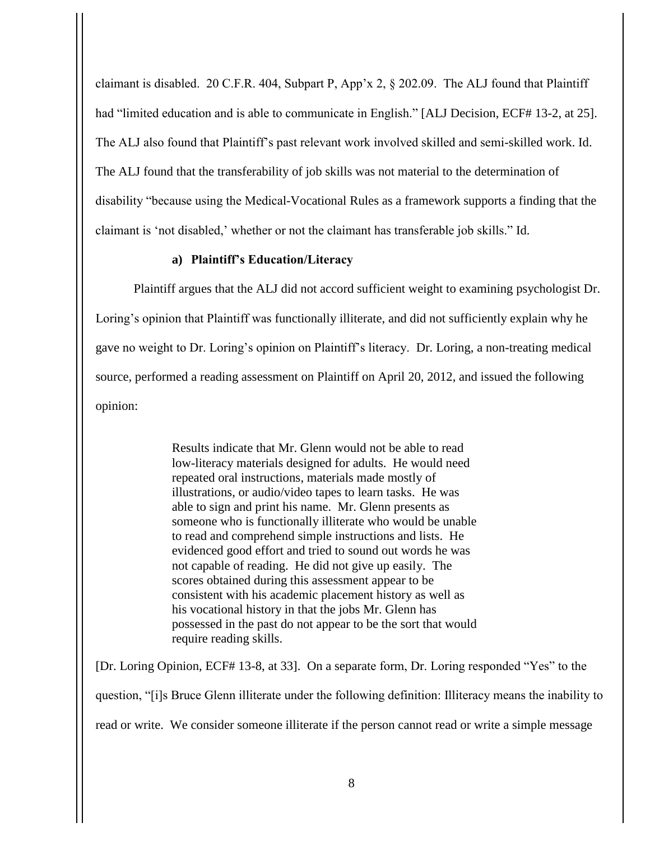claimant is disabled. 20 C.F.R. 404, Subpart P, App'x 2, § 202.09. The ALJ found that Plaintiff had "limited education and is able to communicate in English." [ALJ Decision, ECF# 13-2, at 25]. The ALJ also found that Plaintiff's past relevant work involved skilled and semi-skilled work. Id. The ALJ found that the transferability of job skills was not material to the determination of disability "because using the Medical-Vocational Rules as a framework supports a finding that the claimant is 'not disabled,' whether or not the claimant has transferable job skills." Id.

## **a) Plaintiff's Education/Literacy**

Plaintiff argues that the ALJ did not accord sufficient weight to examining psychologist Dr. Loring's opinion that Plaintiff was functionally illiterate, and did not sufficiently explain why he gave no weight to Dr. Loring's opinion on Plaintiff's literacy. Dr. Loring, a non-treating medical source, performed a reading assessment on Plaintiff on April 20, 2012, and issued the following opinion:

> Results indicate that Mr. Glenn would not be able to read low-literacy materials designed for adults. He would need repeated oral instructions, materials made mostly of illustrations, or audio/video tapes to learn tasks. He was able to sign and print his name. Mr. Glenn presents as someone who is functionally illiterate who would be unable to read and comprehend simple instructions and lists. He evidenced good effort and tried to sound out words he was not capable of reading. He did not give up easily. The scores obtained during this assessment appear to be consistent with his academic placement history as well as his vocational history in that the jobs Mr. Glenn has possessed in the past do not appear to be the sort that would require reading skills.

[Dr. Loring Opinion, ECF# 13-8, at 33]. On a separate form, Dr. Loring responded "Yes" to the question, "[i]s Bruce Glenn illiterate under the following definition: Illiteracy means the inability to read or write. We consider someone illiterate if the person cannot read or write a simple message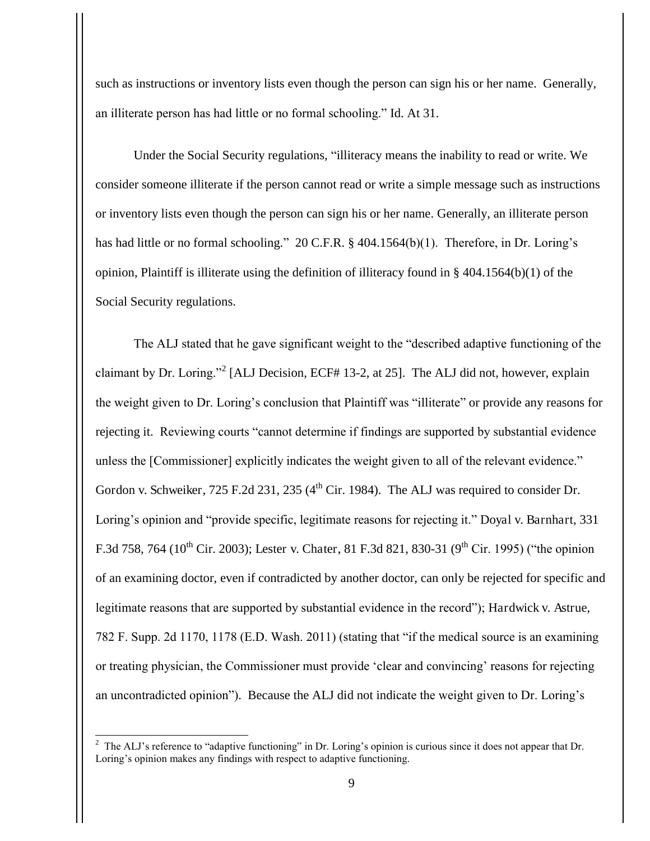such as instructions or inventory lists even though the person can sign his or her name. Generally, an illiterate person has had little or no formal schooling." Id. At 31.

 Under the Social Security regulations, "illiteracy means the inability to read or write. We consider someone illiterate if the person cannot read or write a simple message such as instructions or inventory lists even though the person can sign his or her name. Generally, an illiterate person has had little or no formal schooling." 20 C.F.R. § 404.1564(b)(1). Therefore, in Dr. Loring's opinion, Plaintiff is illiterate using the definition of illiteracy found in § 404.1564(b)(1) of the Social Security regulations.

The ALJ stated that he gave significant weight to the "described adaptive functioning of the claimant by Dr. Loring."<sup>2</sup> [ALJ Decision, ECF# 13-2, at 25]. The ALJ did not, however, explain the weight given to Dr. Loring's conclusion that Plaintiff was "illiterate" or provide any reasons for rejecting it. Reviewing courts "cannot determine if findings are supported by substantial evidence unless the [Commissioner] explicitly indicates the weight given to all of the relevant evidence." Gordon v. Schweiker, 725 F.2d 231, 235 (4<sup>th</sup> Cir. 1984). The ALJ was required to consider Dr. Loring's opinion and "provide specific, legitimate reasons for rejecting it." Doyal v. Barnhart, 331 F.3d 758, 764 (10<sup>th</sup> Cir. 2003); Lester v. Chater, 81 F.3d 821, 830-31 (9<sup>th</sup> Cir. 1995) ("the opinion of an examining doctor, even if contradicted by another doctor, can only be rejected for specific and legitimate reasons that are supported by substantial evidence in the record"); Hardwick v. Astrue, 782 F. Supp. 2d 1170, 1178 (E.D. Wash. 2011) (stating that "if the medical source is an examining or treating physician, the Commissioner must provide 'clear and convincing' reasons for rejecting an uncontradicted opinion"). Because the ALJ did not indicate the weight given to Dr. Loring's

<sup>&</sup>lt;sup>2</sup> The ALJ's reference to "adaptive functioning" in Dr. Loring's opinion is curious since it does not appear that Dr. Loring's opinion makes any findings with respect to adaptive functioning.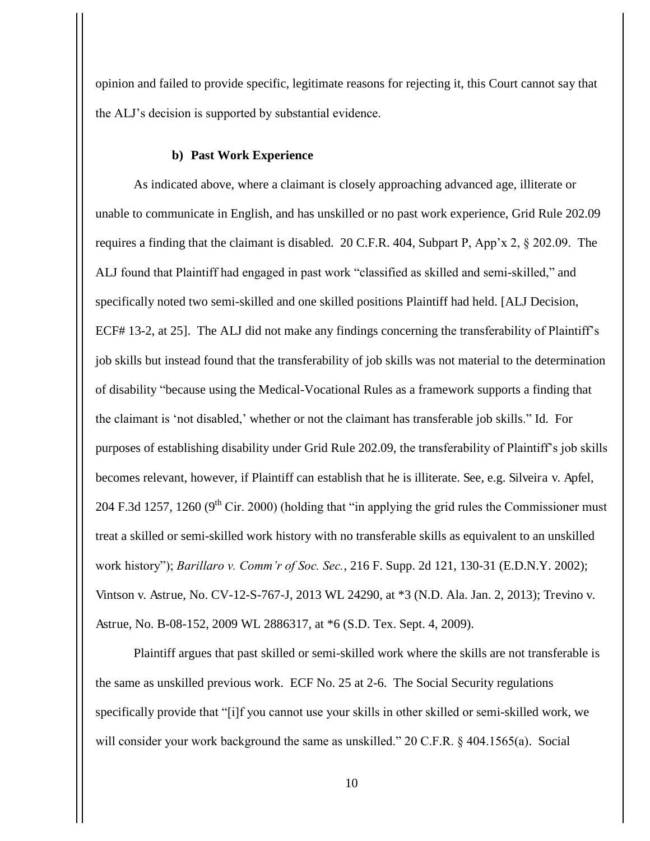opinion and failed to provide specific, legitimate reasons for rejecting it, this Court cannot say that the ALJ's decision is supported by substantial evidence.

### **b) Past Work Experience**

As indicated above, where a claimant is closely approaching advanced age, illiterate or unable to communicate in English, and has unskilled or no past work experience, Grid Rule 202.09 requires a finding that the claimant is disabled. 20 C.F.R. 404, Subpart P, App'x 2, § 202.09. The ALJ found that Plaintiff had engaged in past work "classified as skilled and semi-skilled," and specifically noted two semi-skilled and one skilled positions Plaintiff had held. [ALJ Decision, ECF# 13-2, at 25]. The ALJ did not make any findings concerning the transferability of Plaintiff's job skills but instead found that the transferability of job skills was not material to the determination of disability "because using the Medical-Vocational Rules as a framework supports a finding that the claimant is 'not disabled,' whether or not the claimant has transferable job skills." Id. For purposes of establishing disability under Grid Rule 202.09, the transferability of Plaintiff's job skills becomes relevant, however, if Plaintiff can establish that he is illiterate. See, e.g. Silveira v. Apfel, 204 F.3d 1257, 1260 ( $9<sup>th</sup>$  Cir. 2000) (holding that "in applying the grid rules the Commissioner must treat a skilled or semi-skilled work history with no transferable skills as equivalent to an unskilled work history"); *Barillaro v. Comm'r of Soc. Sec.*, 216 F. Supp. 2d 121, 130-31 (E.D.N.Y. 2002); Vintson v. Astrue, No. CV-12-S-767-J, 2013 WL 24290, at \*3 (N.D. Ala. Jan. 2, 2013); Trevino v. Astrue, No. B-08-152, 2009 WL 2886317, at \*6 (S.D. Tex. Sept. 4, 2009).

Plaintiff argues that past skilled or semi-skilled work where the skills are not transferable is the same as unskilled previous work. ECF No. 25 at 2-6. The Social Security regulations specifically provide that "[i]f you cannot use your skills in other skilled or semi-skilled work, we will consider your work background the same as unskilled." 20 C.F.R. § 404.1565(a). Social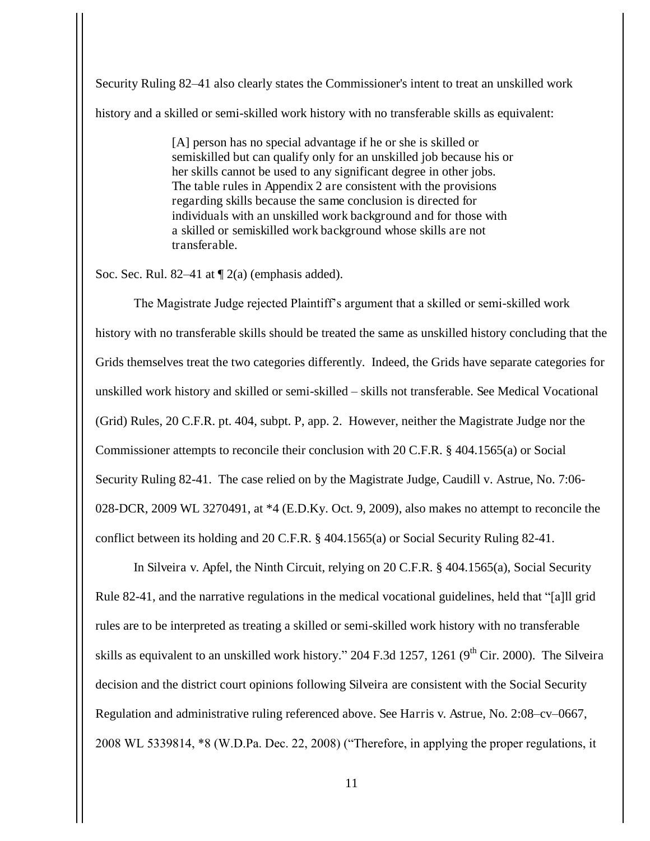Security Ruling 82–41 also clearly states the Commissioner's intent to treat an unskilled work history and a skilled or semi-skilled work history with no transferable skills as equivalent:

> [A] person has no special advantage if he or she is skilled or semiskilled but can qualify only for an unskilled job because his or her skills cannot be used to any significant degree in other jobs. The table rules in Appendix 2 are consistent with the provisions regarding skills because the same conclusion is directed for individuals with an unskilled work background and for those with a skilled or semiskilled work background whose skills are not transferable.

Soc. Sec. Rul. 82–41 at  $\P$  2(a) (emphasis added).

The Magistrate Judge rejected Plaintiff's argument that a skilled or semi-skilled work history with no transferable skills should be treated the same as unskilled history concluding that the Grids themselves treat the two categories differently. Indeed, the Grids have separate categories for unskilled work history and skilled or semi-skilled – skills not transferable. See Medical Vocational (Grid) Rules, 20 C.F.R. pt. 404, subpt. P, app. 2. However, neither the Magistrate Judge nor the Commissioner attempts to reconcile their conclusion with 20 C.F.R. § 404.1565(a) or Social Security Ruling 82-41. The case relied on by the Magistrate Judge, Caudill v. Astrue, No. 7:06- 028-DCR, 2009 WL 3270491, at \*4 (E.D.Ky. Oct. 9, 2009), also makes no attempt to reconcile the conflict between its holding and 20 C.F.R. § 404.1565(a) or Social Security Ruling 82-41.

In Silveira v. Apfel, the Ninth Circuit, relying on 20 C.F.R. § 404.1565(a), Social Security Rule 82-41, and the narrative regulations in the medical vocational guidelines, held that "[a]ll grid rules are to be interpreted as treating a skilled or semi-skilled work history with no transferable skills as equivalent to an unskilled work history." 204 F.3d 1257, 1261 ( $9<sup>th</sup>$  Cir. 2000). The Silveira decision and the district court opinions following Silveira are consistent with the Social Security Regulation and administrative ruling referenced above. See Harris v. Astrue, No. 2:08–cv–0667, 2008 WL 5339814, \*8 (W.D.Pa. Dec. 22, 2008) ("Therefore, in applying the proper regulations, it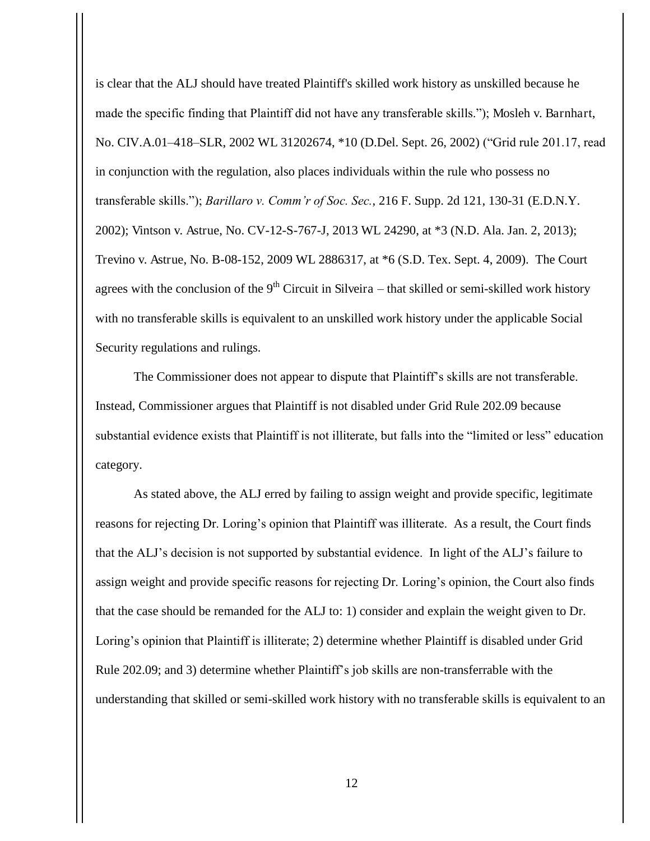is clear that the ALJ should have treated Plaintiff's skilled work history as unskilled because he made the specific finding that Plaintiff did not have any transferable skills."); Mosleh v. Barnhart, No. CIV.A.01–418–SLR, 2002 WL 31202674, \*10 (D.Del. Sept. 26, 2002) ("Grid rule 201.17, read in conjunction with the regulation, also places individuals within the rule who possess no transferable skills."); *Barillaro v. Comm'r of Soc. Sec.*, 216 F. Supp. 2d 121, 130-31 (E.D.N.Y. 2002); Vintson v. Astrue, No. CV-12-S-767-J, 2013 WL 24290, at \*3 (N.D. Ala. Jan. 2, 2013); Trevino v. Astrue, No. B-08-152, 2009 WL 2886317, at \*6 (S.D. Tex. Sept. 4, 2009). The Court agrees with the conclusion of the  $9<sup>th</sup>$  Circuit in Silveira – that skilled or semi-skilled work history with no transferable skills is equivalent to an unskilled work history under the applicable Social Security regulations and rulings.

The Commissioner does not appear to dispute that Plaintiff's skills are not transferable. Instead, Commissioner argues that Plaintiff is not disabled under Grid Rule 202.09 because substantial evidence exists that Plaintiff is not illiterate, but falls into the "limited or less" education category.

As stated above, the ALJ erred by failing to assign weight and provide specific, legitimate reasons for rejecting Dr. Loring's opinion that Plaintiff was illiterate. As a result, the Court finds that the ALJ's decision is not supported by substantial evidence. In light of the ALJ's failure to assign weight and provide specific reasons for rejecting Dr. Loring's opinion, the Court also finds that the case should be remanded for the ALJ to: 1) consider and explain the weight given to Dr. Loring's opinion that Plaintiff is illiterate; 2) determine whether Plaintiff is disabled under Grid Rule 202.09; and 3) determine whether Plaintiff's job skills are non-transferrable with the understanding that skilled or semi-skilled work history with no transferable skills is equivalent to an